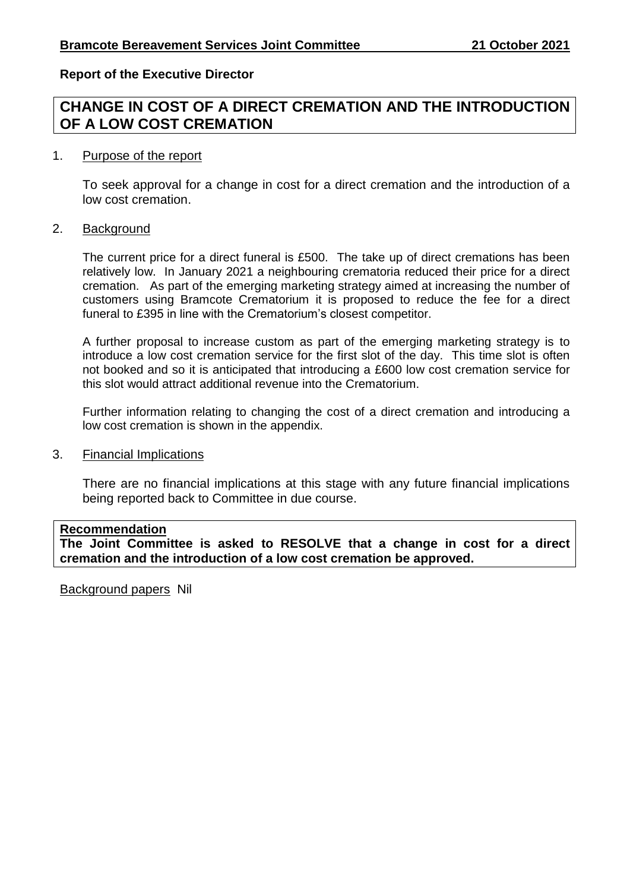### **Report of the Executive Director**

# **CHANGE IN COST OF A DIRECT CREMATION AND THE INTRODUCTION OF A LOW COST CREMATION**

#### 1. Purpose of the report

To seek approval for a change in cost for a direct cremation and the introduction of a low cost cremation.

#### 2. Background

The current price for a direct funeral is £500. The take up of direct cremations has been relatively low. In January 2021 a neighbouring crematoria reduced their price for a direct cremation. As part of the emerging marketing strategy aimed at increasing the number of customers using Bramcote Crematorium it is proposed to reduce the fee for a direct funeral to £395 in line with the Crematorium's closest competitor.

A further proposal to increase custom as part of the emerging marketing strategy is to introduce a low cost cremation service for the first slot of the day. This time slot is often not booked and so it is anticipated that introducing a £600 low cost cremation service for this slot would attract additional revenue into the Crematorium.

Further information relating to changing the cost of a direct cremation and introducing a low cost cremation is shown in the appendix.

#### 3. Financial Implications

There are no financial implications at this stage with any future financial implications being reported back to Committee in due course.

#### **Recommendation**

**The Joint Committee is asked to RESOLVE that a change in cost for a direct cremation and the introduction of a low cost cremation be approved.**

Background papers Nil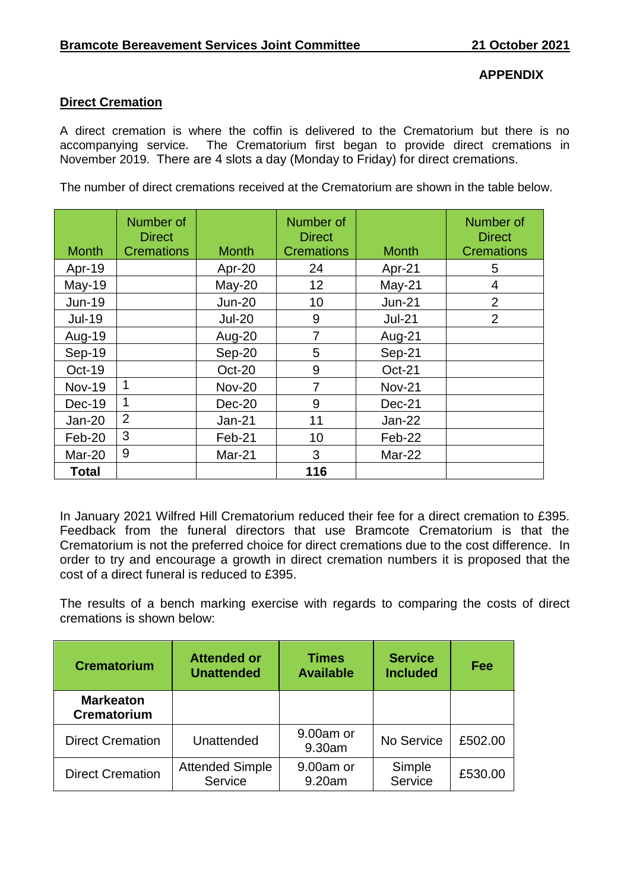## **APPENDIX**

### **Direct Cremation**

A direct cremation is where the coffin is delivered to the Crematorium but there is no accompanying service. The Crematorium first began to provide direct cremations in November 2019. There are 4 slots a day (Monday to Friday) for direct cremations.

The number of direct cremations received at the Crematorium are shown in the table below.

| <b>Month</b>  | Number of<br><b>Direct</b><br><b>Cremations</b> | <b>Month</b>  | Number of<br><b>Direct</b><br><b>Cremations</b> | <b>Month</b>  | Number of<br><b>Direct</b><br><b>Cremations</b> |
|---------------|-------------------------------------------------|---------------|-------------------------------------------------|---------------|-------------------------------------------------|
| Apr-19        |                                                 | Apr-20        | 24                                              | Apr-21        | 5                                               |
| <b>May-19</b> |                                                 | $May-20$      | 12                                              | $May-21$      | 4                                               |
| $Jun-19$      |                                                 | <b>Jun-20</b> | 10                                              | $Jun-21$      | $\overline{2}$                                  |
| <b>Jul-19</b> |                                                 | <b>Jul-20</b> | 9                                               | <b>Jul-21</b> | $\overline{2}$                                  |
| Aug-19        |                                                 | Aug-20        | 7                                               | Aug-21        |                                                 |
| Sep-19        |                                                 | Sep-20        | 5                                               | Sep-21        |                                                 |
| Oct-19        |                                                 | Oct-20        | 9                                               | Oct-21        |                                                 |
| <b>Nov-19</b> | 1                                               | <b>Nov-20</b> | $\overline{7}$                                  | <b>Nov-21</b> |                                                 |
| Dec-19        | $\mathbf 1$                                     | Dec-20        | 9                                               | Dec-21        |                                                 |
| $Jan-20$      | $\overline{2}$                                  | $Jan-21$      | 11                                              | <b>Jan-22</b> |                                                 |
| Feb-20        | 3                                               | Feb-21        | 10                                              | Feb-22        |                                                 |
| Mar-20        | 9                                               | Mar-21        | 3                                               | Mar-22        |                                                 |
| Total         |                                                 |               | 116                                             |               |                                                 |

In January 2021 Wilfred Hill Crematorium reduced their fee for a direct cremation to £395. Feedback from the funeral directors that use Bramcote Crematorium is that the Crematorium is not the preferred choice for direct cremations due to the cost difference. In order to try and encourage a growth in direct cremation numbers it is proposed that the cost of a direct funeral is reduced to £395.

The results of a bench marking exercise with regards to comparing the costs of direct cremations is shown below:

| <b>Crematorium</b>                     | <b>Attended or</b><br><b>Unattended</b> | <b>Times</b><br><b>Available</b> | <b>Service</b><br><b>Included</b> | Fee     |
|----------------------------------------|-----------------------------------------|----------------------------------|-----------------------------------|---------|
| <b>Markeaton</b><br><b>Crematorium</b> |                                         |                                  |                                   |         |
| <b>Direct Cremation</b>                | Unattended                              | 9.00am or<br>9.30am              | No Service                        | £502.00 |
| <b>Direct Cremation</b>                | <b>Attended Simple</b><br>Service       | 9.00am or<br>9.20am              | Simple<br>Service                 | £530.00 |